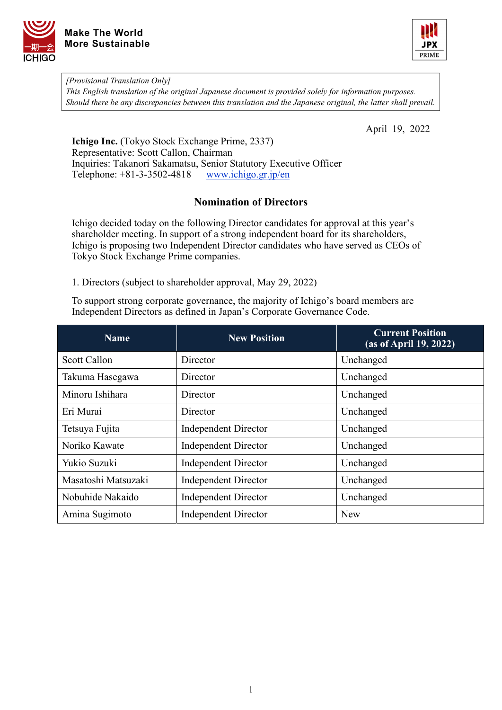



*[Provisional Translation Only] This English translation of the original Japanese document is provided solely for information purposes. Should there be any discrepancies between this translation and the Japanese original, the latter shall prevail.*

April 19, 2022

**Ichigo Inc.** (Tokyo Stock Exchange Prime, 2337) Representative: Scott Callon, Chairman Inquiries: Takanori Sakamatsu, Senior Statutory Executive Officer Telephone: +81-3-3502-4818 [www.ichigo.gr.jp/en](https://www.ichigo.gr.jp/en)

## **Nomination of Directors**

Ichigo decided today on the following Director candidates for approval at this year's shareholder meeting. In support of a strong independent board for its shareholders, Ichigo is proposing two Independent Director candidates who have served as CEOs of Tokyo Stock Exchange Prime companies.

1. Directors (subject to shareholder approval, May 29, 2022)

To support strong corporate governance, the majority of Ichigo's board members are Independent Directors as defined in Japan's Corporate Governance Code.

| <b>Name</b>         | <b>New Position</b>         | <b>Current Position</b><br>(as of April 19, 2022) |  |
|---------------------|-----------------------------|---------------------------------------------------|--|
| <b>Scott Callon</b> | Director                    | Unchanged                                         |  |
| Takuma Hasegawa     | Director                    | Unchanged                                         |  |
| Minoru Ishihara     | Director                    | Unchanged                                         |  |
| Eri Murai           | Director                    | Unchanged                                         |  |
| Tetsuya Fujita      | <b>Independent Director</b> | Unchanged                                         |  |
| Noriko Kawate       | <b>Independent Director</b> | Unchanged                                         |  |
| Yukio Suzuki        | <b>Independent Director</b> | Unchanged                                         |  |
| Masatoshi Matsuzaki | <b>Independent Director</b> | Unchanged                                         |  |
| Nobuhide Nakaido    | <b>Independent Director</b> | Unchanged                                         |  |
| Amina Sugimoto      | <b>Independent Director</b> | <b>New</b>                                        |  |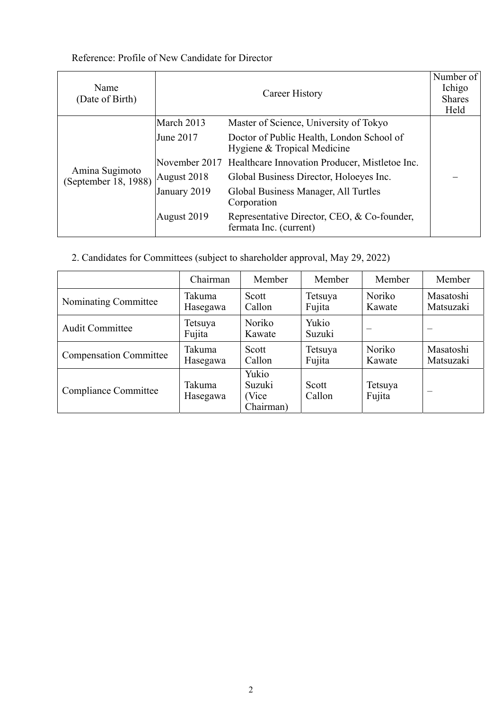## Reference: Profile of New Candidate for Director

| Name<br>(Date of Birth)                | Career History |                                                                          | Number of<br>Ichigo<br><b>Shares</b><br>Held |
|----------------------------------------|----------------|--------------------------------------------------------------------------|----------------------------------------------|
| Amina Sugimoto<br>(September 18, 1988) | March 2013     | Master of Science, University of Tokyo                                   |                                              |
|                                        | June 2017      | Doctor of Public Health, London School of<br>Hygiene & Tropical Medicine |                                              |
|                                        |                | November 2017 Healthcare Innovation Producer, Mistletoe Inc.             |                                              |
|                                        | August 2018    | Global Business Director, Holoeyes Inc.                                  |                                              |
|                                        | January 2019   | Global Business Manager, All Turtles<br>Corporation                      |                                              |
|                                        | August 2019    | Representative Director, CEO, & Co-founder,<br>fermata Inc. (current)    |                                              |

2. Candidates for Committees (subject to shareholder approval, May 29, 2022)

|                               | Chairman           | Member                                 | Member            | Member            | Member                 |
|-------------------------------|--------------------|----------------------------------------|-------------------|-------------------|------------------------|
| Nominating Committee          | Takuma<br>Hasegawa | Scott<br>Callon                        | Tetsuya<br>Fujita | Noriko<br>Kawate  | Masatoshi<br>Matsuzaki |
| <b>Audit Committee</b>        | Tetsuya<br>Fujita  | <b>Noriko</b><br>Kawate                | Yukio<br>Suzuki   | --                |                        |
| <b>Compensation Committee</b> | Takuma<br>Hasegawa | Scott<br>Callon                        | Tetsuya<br>Fujita | Noriko<br>Kawate  | Masatoshi<br>Matsuzaki |
| Compliance Committee          | Takuma<br>Hasegawa | Yukio<br>Suzuki<br>(Vice)<br>Chairman) | Scott<br>Callon   | Tetsuya<br>Fujita |                        |